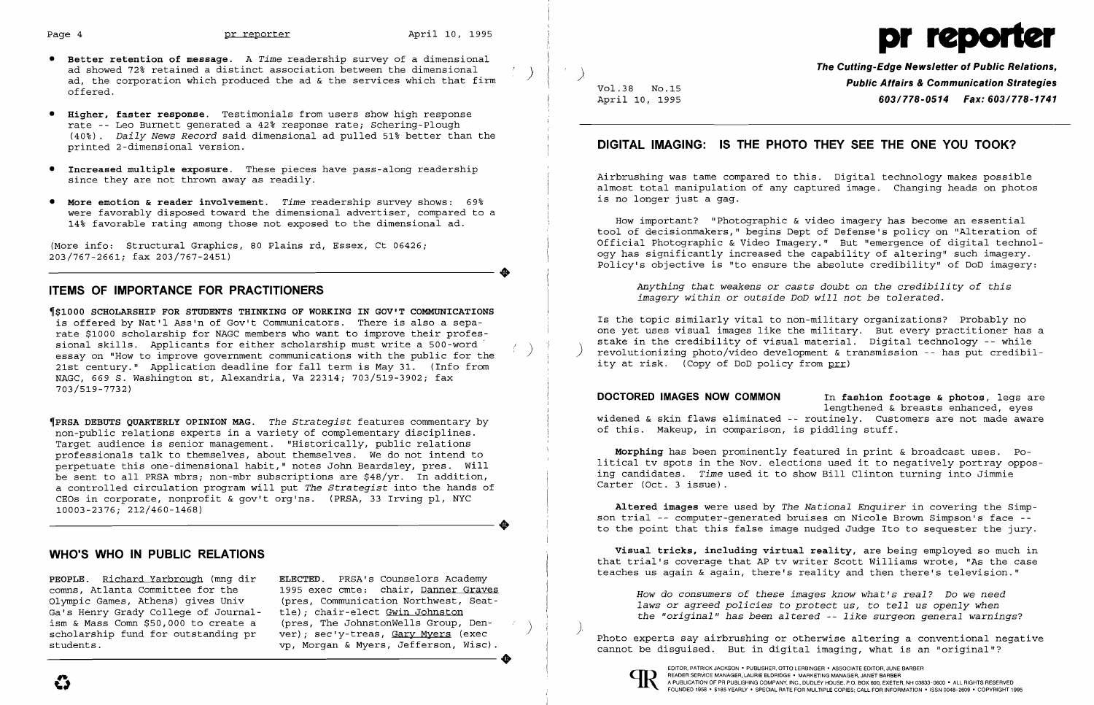$\clubsuit$ 

 $\clubsuit$ 

- **• Better retention of message.** A *Time* readership survey of a dimensional ad, the corporation which produced the ad & the services which that firm offered.
- • **Higher, faster response.** Testimonials from users show high response rate - Leo Burnett generated a 42% response rate; Schering-Plough (40%) . *Daily News Record* said dimensional ad pulled 51% better than the printed 2-dimensional version.
- **• Increased multiple exposure.** These pieces have pass-along readership since they are not thrown away as readily.
- **• More emotion & reader involvement.** *Time* readership survey shows: 69% were favorably disposed toward the dimensional advertiser, compared to a 14% favorable rating among those not exposed to the dimensional ad.

(More info: Structural Graphics, 80 Plains rd, Essex, Ct 06426; 203/767-2661; fax 203/767-2451)

# **ITEMS OF IMPORTANCE FOR PRACTITIONERS**

~\$1000 **SCHOLARSHIP FOR STUDENTS THINKING OF WORKING IN GOV'T COMMUNICATIONS**  is offered by Nat'l Ass'n of Gov't Communicators. There is also a sepa rate \$1000 scholarship for NAGC members who want to improve their profesessay on "How to improve government communications with the a 500-word ...<br>essay on "How to improve government communications with the public for the 21st century." Application deadline for fall term is May 31. (Info from NAGC, 669 S. Washington st, Alexandria, Va 22314; 703/519-3902; fax 703/519-7732)

**The Cutting-Edge Newsletter of Public Relations,**<br>**Public Affairs & Communication Strategies<br>603/778-0514 Fax: 603/778-1741<br>603/778-0514 Fax: 603/778-1741** April 10, 1995 *603/778-0514 Fax: 603/778-1741* 

Is the topic similarly vital to non-military organizations? Probably no one yet uses visual images like the military. But every practitioner has a<br>stake in the credibility of visual material. Digital technology -- while revolutionizing photo/video development & transmission -- has put credibility at risk. (Copy of DoD policy from prr)

~PRSA **DEBUTS QUARTERLY OPINION MAG.** *The Strategist* features commentary by non-public relations experts in a variety of complementary disciplines. Target audience is senior management. "Historically, public relations professionals talk to themselves, about themselves. We do not intend to perpetuate this one-dimensional habit," notes John Beardsley, pres. will be sent to all PRSA mbrs; non-mbr subscriptions are \$48/yr. In addition, a controlled circulation program will put *The Strategist* into the hands of CEOs in corporate, nonprofit & gov't org'ns. (PRSA, 33 Irving pI, NYC 10003-2376; 212/460-1468)

# **WHO'S WHO IN PUBLIC RELATIONS**

**PEOPLE.** Richard Yarbrough (mng dir comns, Atlanta Committee for the Olympic Games, Athens) gives Univ Ga's Henry Grady College of Journalism & Mass Comn \$50,000 to create a scholarship fund for outstanding pr students.

*How do consumers of these images know what's real? Do we need laws* or *agreed policies* to *protect us,* to *tell* us *openly when the "original" has been altered* -- *like surgeon general warnings?* 

Photo experts say airbrushing or otherwise altering a conventional negative cannot be disguised. But in digital imaging, what is an "original"? Scholarship fund for outstanding pr ver); sec'y-treas, Gary Myers (exec<br>students.<br>The Myers, Jefferson, Wisc).<br>The Magnustic Scholarship or otherwise altering a c<br>cannot be disguised. But in digital imaging, what is a<br>cann



**ELECTED.** PRSA's Counselors Academy 1995 exec cmte: chair, Danner Graves (pres, Communication Northwest, Seattle); chair-elect Gwin Johnston<br>(pres, The JohnstonWells Group, Denver); sec'y-treas, Gary Myers (exec vp, Morgan & Myers, Jefferson, Wisc).

# Page 4 **pr reporter** April 10, 1995 **pr reporter** April 10, 1995

# **DIGITAL IMAGING: IS THE PHOTO THEY SEE THE ONE YOU TOOK?**

Airbrushing was tame compared to this. Digital technology makes possible almost total manipulation of any captured image. Changing heads on photos is no longer just a gag.

How important? "Photographic & video imagery has become an essential tool of decisionmakers," begins Dept of Defense's policy on "Alteration of Official photographic & Video Imagery." But "emergence of digital technology has significantly increased the capability of altering" such imagery. Policy's objective is "to ensure the absolute credibility" of DoD imagery:

*Anything that weakens* or *casts doubt* on *the credibility of this imagery within* or *outside DoD will* not *be tolerated.* 

**DOCTORED IMAGES NOW COMMON** In **fashion footage & photos,** legs are lengthened & breasts enhanced, eyes widened & skin flaws eliminated -- routinely. Customers are not made aware of this. Makeup, in comparison, is piddling stuff.

**Morphing** has been prominently featured in print & broadcast uses. Political tv spots in the Nov. elections used it to negatively portray opposing candidates. *Time* used it to show Bill Clinton turning into Jimmie Carter (Oct. 3 issue).

**Altered images** were used by *The National Enquirer* in covering the Simpson trial -- computer-generated bruises on Nicole Brown Simpson's face to the point that this false image nudged Judge Ito to sequester the jury.

**Visual tricks, including virtual reality,** are being employed so much in that trial's coverage that AP tv writer Scott Williams wrote, "As the case teaches us again & again, there's reality and then there's television."

).